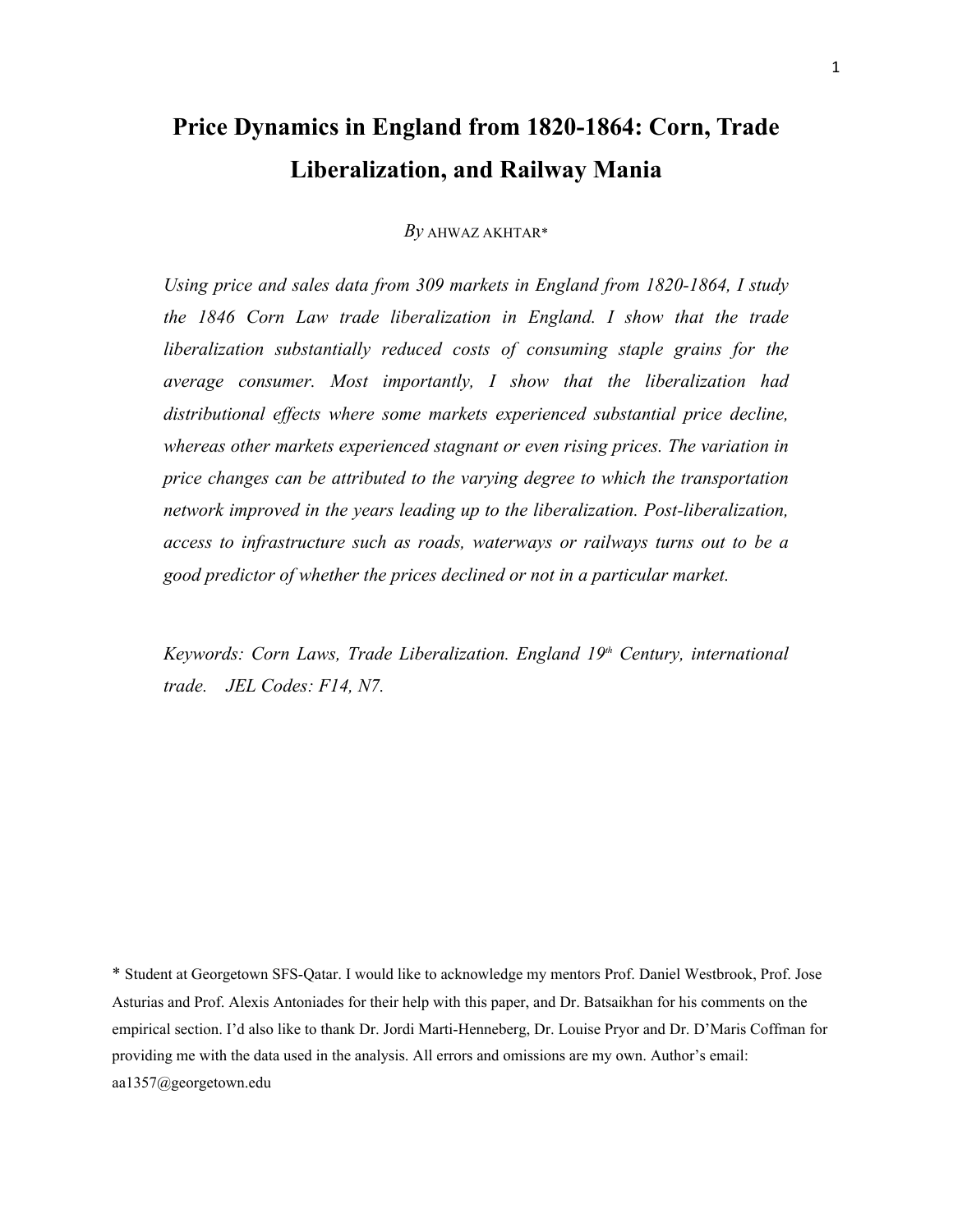# **Price Dynamics in England from 1820-1864: Corn, Trade Liberalization, and Railway Mania**

*By* AHWAZ AKHTAR\*

*Using price and sales data from 309 markets in England from 1820-1864, I study the 1846 Corn Law trade liberalization in England. I show that the trade liberalization substantially reduced costs of consuming staple grains for the average consumer. Most importantly, I show that the liberalization had distributional effects where some markets experienced substantial price decline, whereas other markets experienced stagnant or even rising prices. The variation in price changes can be attributed to the varying degree to which the transportation network improved in the years leading up to the liberalization. Post-liberalization, access to infrastructure such as roads, waterways or railways turns out to be a good predictor of whether the prices declined or not in a particular market.* 

*Keywords: Corn Laws, Trade Liberalization. England 19th Century, international trade. JEL Codes: F14, N7.*

\* Student at Georgetown SFS-Qatar. I would like to acknowledge my mentors Prof. Daniel Westbrook, Prof. Jose Asturias and Prof. Alexis Antoniades for their help with this paper, and Dr. Batsaikhan for his comments on the empirical section. I'd also like to thank Dr. Jordi Marti-Henneberg, Dr. Louise Pryor and Dr. D'Maris Coffman for providing me with the data used in the analysis. All errors and omissions are my own. Author's email: aa1357@georgetown.edu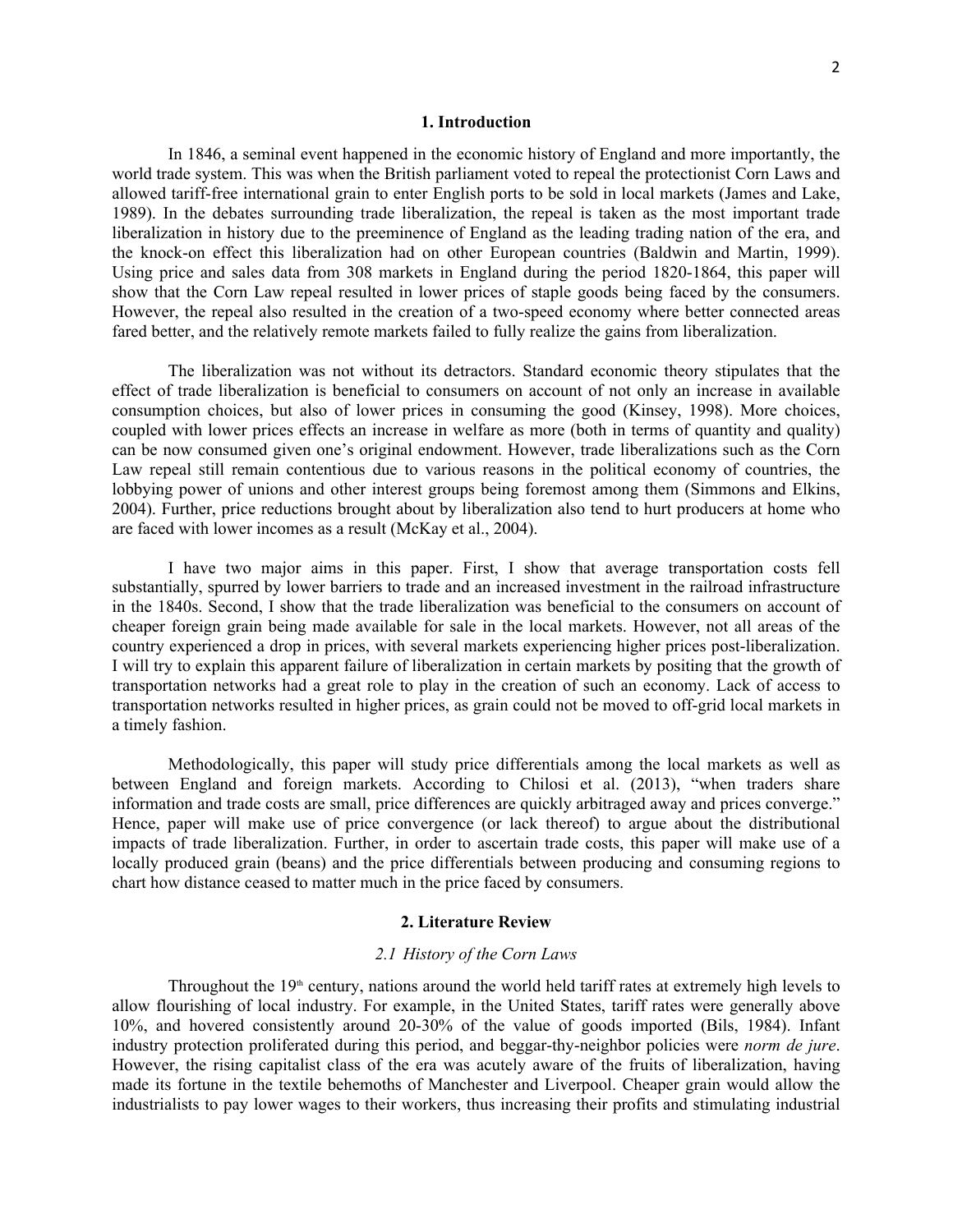#### **1. Introduction**

In 1846, a seminal event happened in the economic history of England and more importantly, the world trade system. This was when the British parliament voted to repeal the protectionist Corn Laws and allowed tariff-free international grain to enter English ports to be sold in local markets (James and Lake, 1989). In the debates surrounding trade liberalization, the repeal is taken as the most important trade liberalization in history due to the preeminence of England as the leading trading nation of the era, and the knock-on effect this liberalization had on other European countries (Baldwin and Martin, 1999). Using price and sales data from 308 markets in England during the period 1820-1864, this paper will show that the Corn Law repeal resulted in lower prices of staple goods being faced by the consumers. However, the repeal also resulted in the creation of a two-speed economy where better connected areas fared better, and the relatively remote markets failed to fully realize the gains from liberalization.

The liberalization was not without its detractors. Standard economic theory stipulates that the effect of trade liberalization is beneficial to consumers on account of not only an increase in available consumption choices, but also of lower prices in consuming the good (Kinsey, 1998). More choices, coupled with lower prices effects an increase in welfare as more (both in terms of quantity and quality) can be now consumed given one's original endowment. However, trade liberalizations such as the Corn Law repeal still remain contentious due to various reasons in the political economy of countries, the lobbying power of unions and other interest groups being foremost among them (Simmons and Elkins, 2004). Further, price reductions brought about by liberalization also tend to hurt producers at home who are faced with lower incomes as a result (McKay et al., 2004).

I have two major aims in this paper. First, I show that average transportation costs fell substantially, spurred by lower barriers to trade and an increased investment in the railroad infrastructure in the 1840s. Second, I show that the trade liberalization was beneficial to the consumers on account of cheaper foreign grain being made available for sale in the local markets. However, not all areas of the country experienced a drop in prices, with several markets experiencing higher prices post-liberalization. I will try to explain this apparent failure of liberalization in certain markets by positing that the growth of transportation networks had a great role to play in the creation of such an economy. Lack of access to transportation networks resulted in higher prices, as grain could not be moved to off-grid local markets in a timely fashion.

Methodologically, this paper will study price differentials among the local markets as well as between England and foreign markets. According to Chilosi et al. (2013), "when traders share information and trade costs are small, price differences are quickly arbitraged away and prices converge." Hence, paper will make use of price convergence (or lack thereof) to argue about the distributional impacts of trade liberalization. Further, in order to ascertain trade costs, this paper will make use of a locally produced grain (beans) and the price differentials between producing and consuming regions to chart how distance ceased to matter much in the price faced by consumers.

#### **2. Literature Review**

#### *2.1 History of the Corn Laws*

Throughout the  $19<sup>th</sup>$  century, nations around the world held tariff rates at extremely high levels to allow flourishing of local industry. For example, in the United States, tariff rates were generally above 10%, and hovered consistently around 20-30% of the value of goods imported (Bils, 1984). Infant industry protection proliferated during this period, and beggar-thy-neighbor policies were *norm de jure*. However, the rising capitalist class of the era was acutely aware of the fruits of liberalization, having made its fortune in the textile behemoths of Manchester and Liverpool. Cheaper grain would allow the industrialists to pay lower wages to their workers, thus increasing their profits and stimulating industrial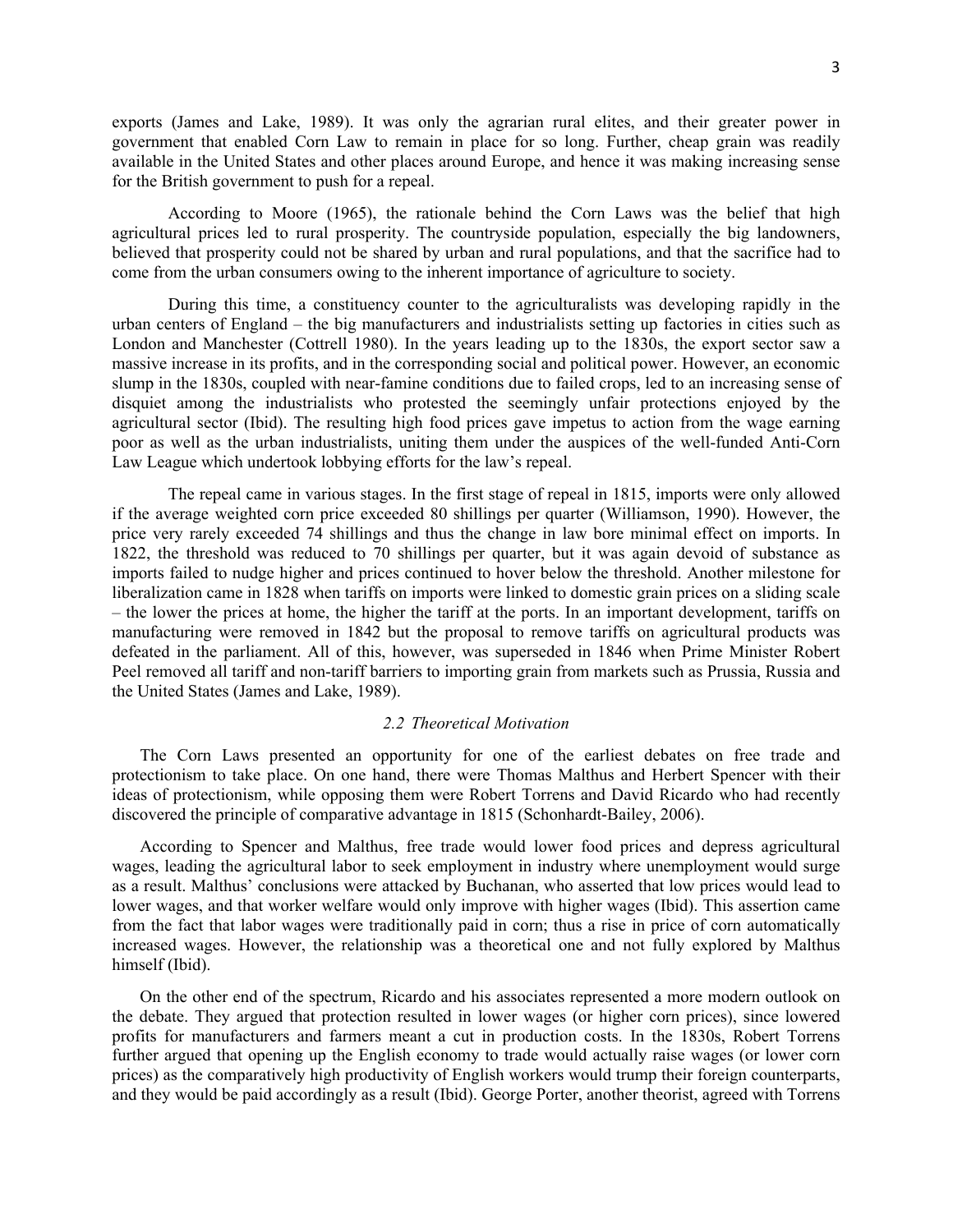exports (James and Lake, 1989). It was only the agrarian rural elites, and their greater power in government that enabled Corn Law to remain in place for so long. Further, cheap grain was readily available in the United States and other places around Europe, and hence it was making increasing sense for the British government to push for a repeal.

According to Moore (1965), the rationale behind the Corn Laws was the belief that high agricultural prices led to rural prosperity. The countryside population, especially the big landowners, believed that prosperity could not be shared by urban and rural populations, and that the sacrifice had to come from the urban consumers owing to the inherent importance of agriculture to society.

During this time, a constituency counter to the agriculturalists was developing rapidly in the urban centers of England – the big manufacturers and industrialists setting up factories in cities such as London and Manchester (Cottrell 1980). In the years leading up to the 1830s, the export sector saw a massive increase in its profits, and in the corresponding social and political power. However, an economic slump in the 1830s, coupled with near-famine conditions due to failed crops, led to an increasing sense of disquiet among the industrialists who protested the seemingly unfair protections enjoyed by the agricultural sector (Ibid). The resulting high food prices gave impetus to action from the wage earning poor as well as the urban industrialists, uniting them under the auspices of the well-funded Anti-Corn Law League which undertook lobbying efforts for the law's repeal.

The repeal came in various stages. In the first stage of repeal in 1815, imports were only allowed if the average weighted corn price exceeded 80 shillings per quarter (Williamson, 1990). However, the price very rarely exceeded 74 shillings and thus the change in law bore minimal effect on imports. In 1822, the threshold was reduced to 70 shillings per quarter, but it was again devoid of substance as imports failed to nudge higher and prices continued to hover below the threshold. Another milestone for liberalization came in 1828 when tariffs on imports were linked to domestic grain prices on a sliding scale – the lower the prices at home, the higher the tariff at the ports. In an important development, tariffs on manufacturing were removed in 1842 but the proposal to remove tariffs on agricultural products was defeated in the parliament. All of this, however, was superseded in 1846 when Prime Minister Robert Peel removed all tariff and non-tariff barriers to importing grain from markets such as Prussia, Russia and the United States (James and Lake, 1989).

#### *2.2 Theoretical Motivation*

The Corn Laws presented an opportunity for one of the earliest debates on free trade and protectionism to take place. On one hand, there were Thomas Malthus and Herbert Spencer with their ideas of protectionism, while opposing them were Robert Torrens and David Ricardo who had recently discovered the principle of comparative advantage in 1815 (Schonhardt-Bailey, 2006).

According to Spencer and Malthus, free trade would lower food prices and depress agricultural wages, leading the agricultural labor to seek employment in industry where unemployment would surge as a result. Malthus' conclusions were attacked by Buchanan, who asserted that low prices would lead to lower wages, and that worker welfare would only improve with higher wages (Ibid). This assertion came from the fact that labor wages were traditionally paid in corn; thus a rise in price of corn automatically increased wages. However, the relationship was a theoretical one and not fully explored by Malthus himself (Ibid).

On the other end of the spectrum, Ricardo and his associates represented a more modern outlook on the debate. They argued that protection resulted in lower wages (or higher corn prices), since lowered profits for manufacturers and farmers meant a cut in production costs. In the 1830s, Robert Torrens further argued that opening up the English economy to trade would actually raise wages (or lower corn prices) as the comparatively high productivity of English workers would trump their foreign counterparts, and they would be paid accordingly as a result (Ibid). George Porter, another theorist, agreed with Torrens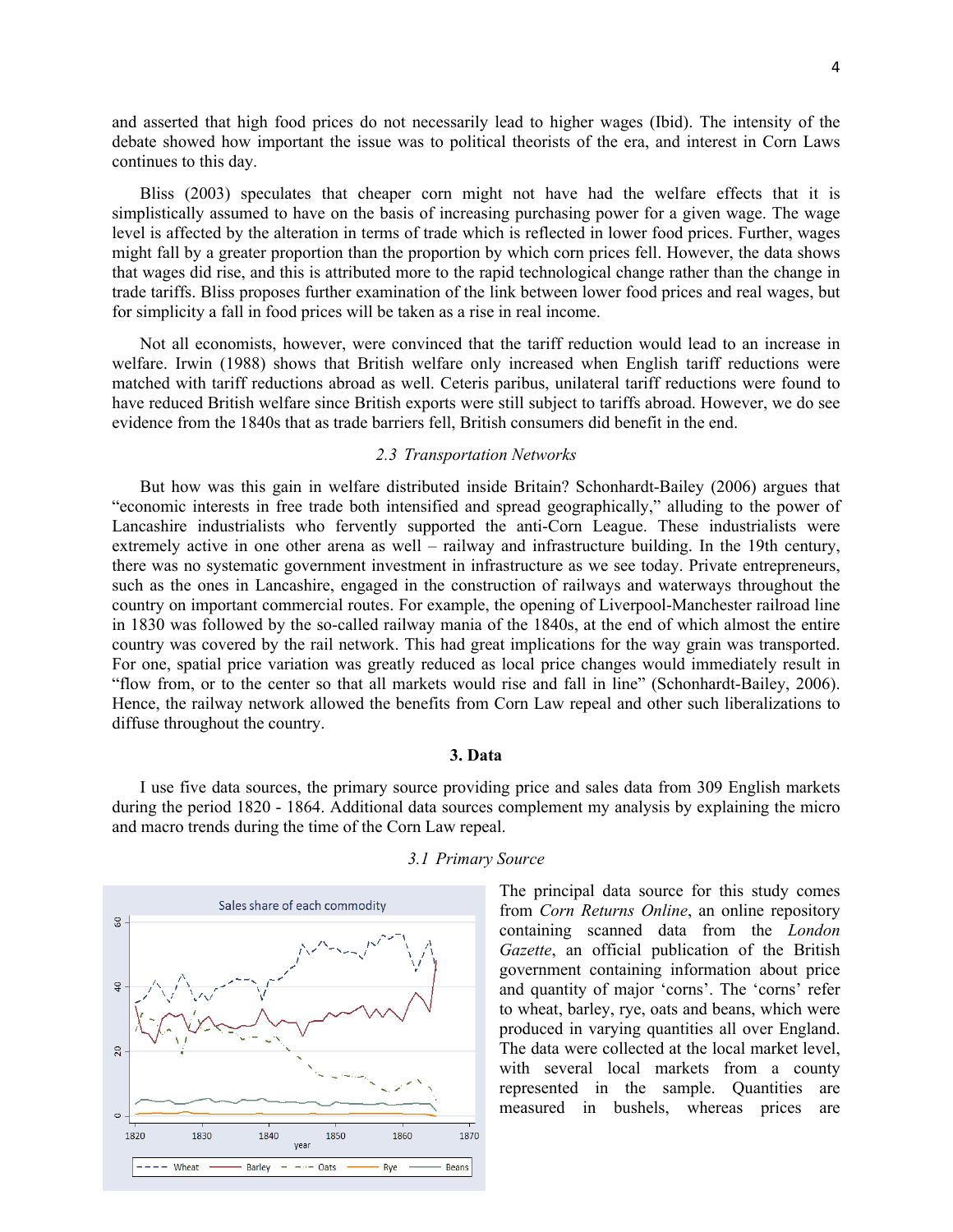and asserted that high food prices do not necessarily lead to higher wages (Ibid). The intensity of the debate showed how important the issue was to political theorists of the era, and interest in Corn Laws continues to this day.

Bliss (2003) speculates that cheaper corn might not have had the welfare effects that it is simplistically assumed to have on the basis of increasing purchasing power for a given wage. The wage level is affected by the alteration in terms of trade which is reflected in lower food prices. Further, wages might fall by a greater proportion than the proportion by which corn prices fell. However, the data shows that wages did rise, and this is attributed more to the rapid technological change rather than the change in trade tariffs. Bliss proposes further examination of the link between lower food prices and real wages, but for simplicity a fall in food prices will be taken as a rise in real income.

Not all economists, however, were convinced that the tariff reduction would lead to an increase in welfare. Irwin (1988) shows that British welfare only increased when English tariff reductions were matched with tariff reductions abroad as well. Ceteris paribus, unilateral tariff reductions were found to have reduced British welfare since British exports were still subject to tariffs abroad. However, we do see evidence from the 1840s that as trade barriers fell, British consumers did benefit in the end.

#### *2.3 Transportation Networks*

But how was this gain in welfare distributed inside Britain? Schonhardt-Bailey (2006) argues that "economic interests in free trade both intensified and spread geographically," alluding to the power of Lancashire industrialists who fervently supported the anti-Corn League. These industrialists were extremely active in one other arena as well – railway and infrastructure building. In the 19th century, there was no systematic government investment in infrastructure as we see today. Private entrepreneurs, such as the ones in Lancashire, engaged in the construction of railways and waterways throughout the country on important commercial routes. For example, the opening of Liverpool-Manchester railroad line in 1830 was followed by the so-called railway mania of the 1840s, at the end of which almost the entire country was covered by the rail network. This had great implications for the way grain was transported. For one, spatial price variation was greatly reduced as local price changes would immediately result in "flow from, or to the center so that all markets would rise and fall in line" (Schonhardt-Bailey, 2006). Hence, the railway network allowed the benefits from Corn Law repeal and other such liberalizations to diffuse throughout the country.

#### **3. Data**

I use five data sources, the primary source providing price and sales data from 309 English markets during the period 1820 - 1864. Additional data sources complement my analysis by explaining the micro and macro trends during the time of the Corn Law repeal.



#### *3.1 Primary Source*

The principal data source for this study comes from *Corn Returns Online*, an online repository containing scanned data from the *London Gazette*, an official publication of the British government containing information about price and quantity of major 'corns'. The 'corns' refer to wheat, barley, rye, oats and beans, which were produced in varying quantities all over England. The data were collected at the local market level, with several local markets from a county represented in the sample. Quantities are measured in bushels, whereas prices are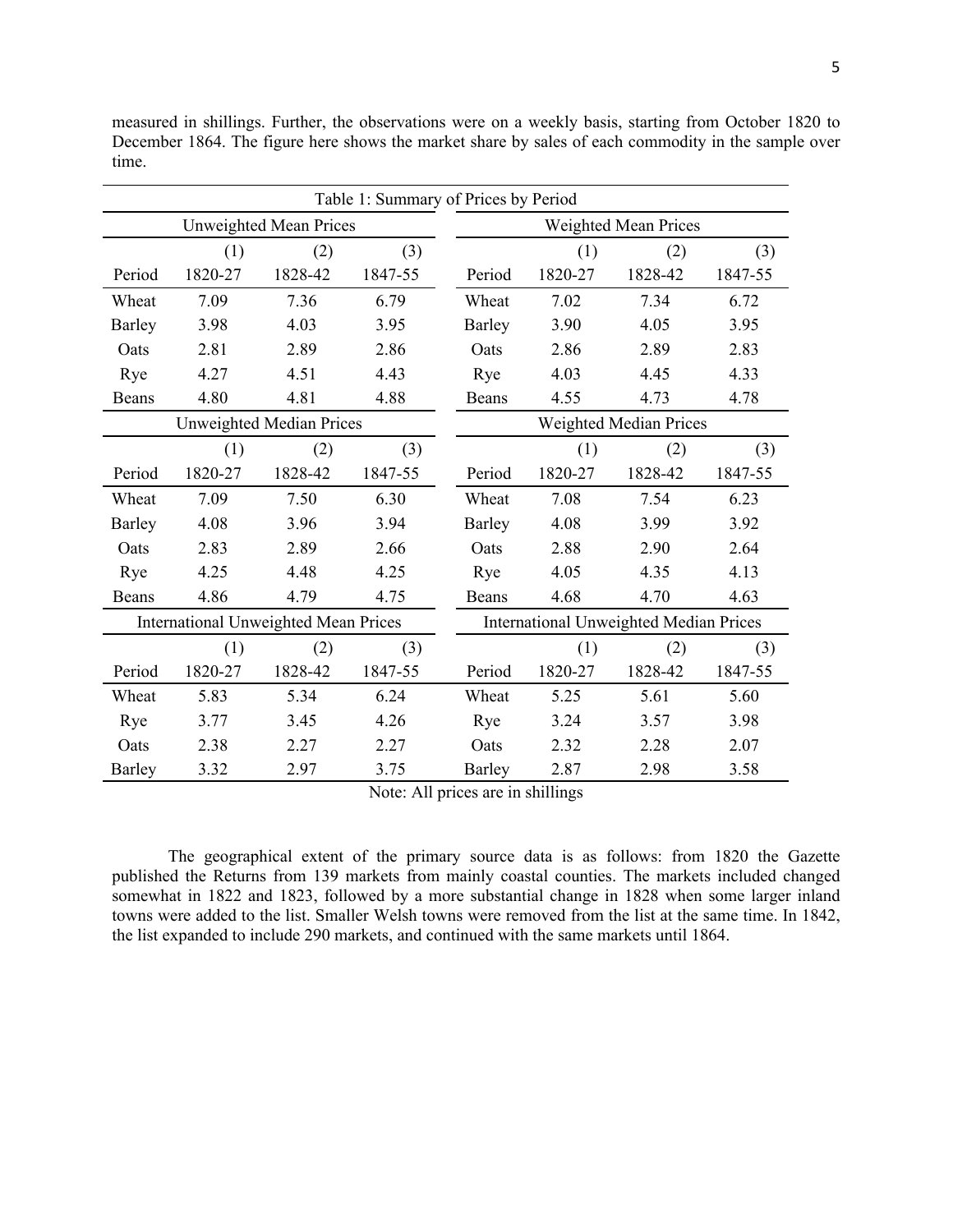|                                             |         |         | Table 1: Summary of Prices by Period |               |                                               |         |         |  |
|---------------------------------------------|---------|---------|--------------------------------------|---------------|-----------------------------------------------|---------|---------|--|
| <b>Unweighted Mean Prices</b>               |         |         |                                      |               | Weighted Mean Prices                          |         |         |  |
|                                             | (1)     | (2)     | (3)                                  |               | (1)                                           | (2)     | (3)     |  |
| Period                                      | 1820-27 | 1828-42 | 1847-55                              | Period        | 1820-27                                       | 1828-42 | 1847-55 |  |
| Wheat                                       | 7.09    | 7.36    | 6.79                                 | Wheat         | 7.02                                          | 7.34    | 6.72    |  |
| Barley                                      | 3.98    | 4.03    | 3.95                                 | <b>Barley</b> | 3.90                                          | 4.05    | 3.95    |  |
| Oats                                        | 2.81    | 2.89    | 2.86                                 | Oats          | 2.86                                          | 2.89    | 2.83    |  |
| Rye                                         | 4.27    | 4.51    | 4.43                                 | Rye           | 4.03                                          | 4.45    | 4.33    |  |
| Beans                                       | 4.80    | 4.81    | 4.88                                 | Beans         | 4.55                                          | 4.73    | 4.78    |  |
| <b>Unweighted Median Prices</b>             |         |         |                                      |               | Weighted Median Prices                        |         |         |  |
|                                             | (1)     | (2)     | (3)                                  |               | (1)                                           | (2)     | (3)     |  |
| Period                                      | 1820-27 | 1828-42 | 1847-55                              | Period        | 1820-27                                       | 1828-42 | 1847-55 |  |
| Wheat                                       | 7.09    | 7.50    | 6.30                                 | Wheat         | 7.08                                          | 7.54    | 6.23    |  |
| <b>Barley</b>                               | 4.08    | 3.96    | 3.94                                 | <b>Barley</b> | 4.08                                          | 3.99    | 3.92    |  |
| Oats                                        | 2.83    | 2.89    | 2.66                                 | Oats          | 2.88                                          | 2.90    | 2.64    |  |
| Rye                                         | 4.25    | 4.48    | 4.25                                 | Rye           | 4.05                                          | 4.35    | 4.13    |  |
| Beans                                       | 4.86    | 4.79    | 4.75                                 | <b>Beans</b>  | 4.68                                          | 4.70    | 4.63    |  |
| <b>International Unweighted Mean Prices</b> |         |         |                                      |               | <b>International Unweighted Median Prices</b> |         |         |  |
|                                             | (1)     | (2)     | $(3)$                                |               | (1)                                           | (2)     | (3)     |  |
| Period                                      | 1820-27 | 1828-42 | 1847-55                              | Period        | 1820-27                                       | 1828-42 | 1847-55 |  |
| Wheat                                       | 5.83    | 5.34    | 6.24                                 | Wheat         | 5.25                                          | 5.61    | 5.60    |  |
| Rye                                         | 3.77    | 3.45    | 4.26                                 | Rye           | 3.24                                          | 3.57    | 3.98    |  |
| Oats                                        | 2.38    | 2.27    | 2.27                                 | Oats          | 2.32                                          | 2.28    | 2.07    |  |
| <b>Barley</b>                               | 3.32    | 2.97    | 3.75                                 | <b>Barley</b> | 2.87                                          | 2.98    | 3.58    |  |

measured in shillings. Further, the observations were on a weekly basis, starting from October 1820 to December 1864. The figure here shows the market share by sales of each commodity in the sample over time.

Note: All prices are in shillings

The geographical extent of the primary source data is as follows: from 1820 the Gazette published the Returns from 139 markets from mainly coastal counties. The markets included changed somewhat in 1822 and 1823, followed by a more substantial change in 1828 when some larger inland towns were added to the list. Smaller Welsh towns were removed from the list at the same time. In 1842, the list expanded to include 290 markets, and continued with the same markets until 1864.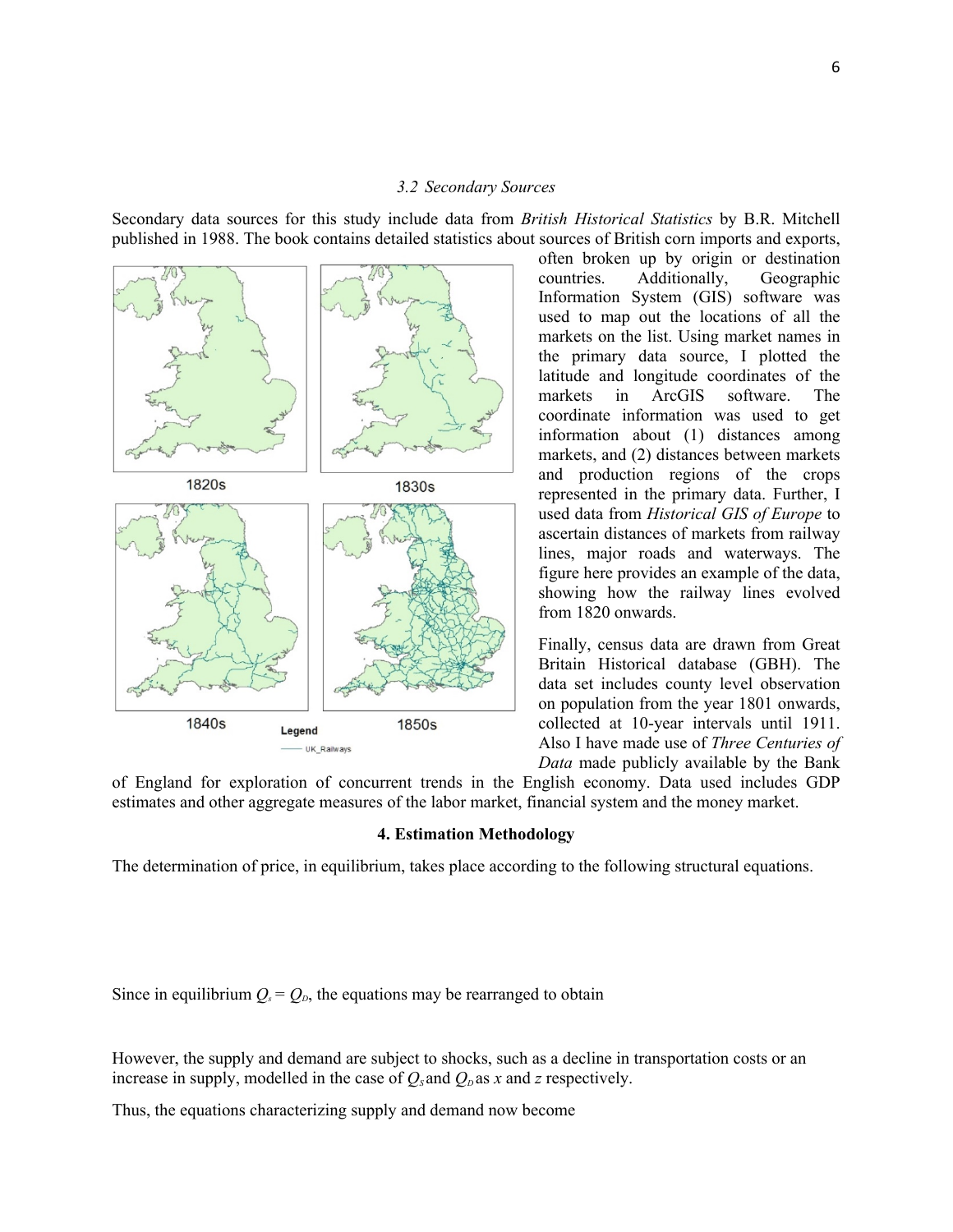#### *3.2 Secondary Sources*

Secondary data sources for this study include data from *British Historical Statistics* by B.R. Mitchell published in 1988. The book contains detailed statistics about sources of British corn imports and exports,



often broken up by origin or destination countries. Additionally, Geographic Information System (GIS) software was used to map out the locations of all the markets on the list. Using market names in the primary data source, I plotted the latitude and longitude coordinates of the markets in ArcGIS software. The coordinate information was used to get information about (1) distances among markets, and (2) distances between markets and production regions of the crops represented in the primary data. Further, I used data from *Historical GIS of Europe* to ascertain distances of markets from railway lines, major roads and waterways. The figure here provides an example of the data, showing how the railway lines evolved from 1820 onwards.

Finally, census data are drawn from Great Britain Historical database (GBH). The data set includes county level observation on population from the year 1801 onwards, collected at 10-year intervals until 1911. Also I have made use of *Three Centuries of Data* made publicly available by the Bank

of England for exploration of concurrent trends in the English economy. Data used includes GDP estimates and other aggregate measures of the labor market, financial system and the money market.

#### **4. Estimation Methodology**

The determination of price, in equilibrium, takes place according to the following structural equations.

Since in equilibrium  $Q_s = Q_p$ , the equations may be rearranged to obtain

However, the supply and demand are subject to shocks, such as a decline in transportation costs or an increase in supply, modelled in the case of  $Q_s$  and  $Q_p$  as *x* and *z* respectively.

Thus, the equations characterizing supply and demand now become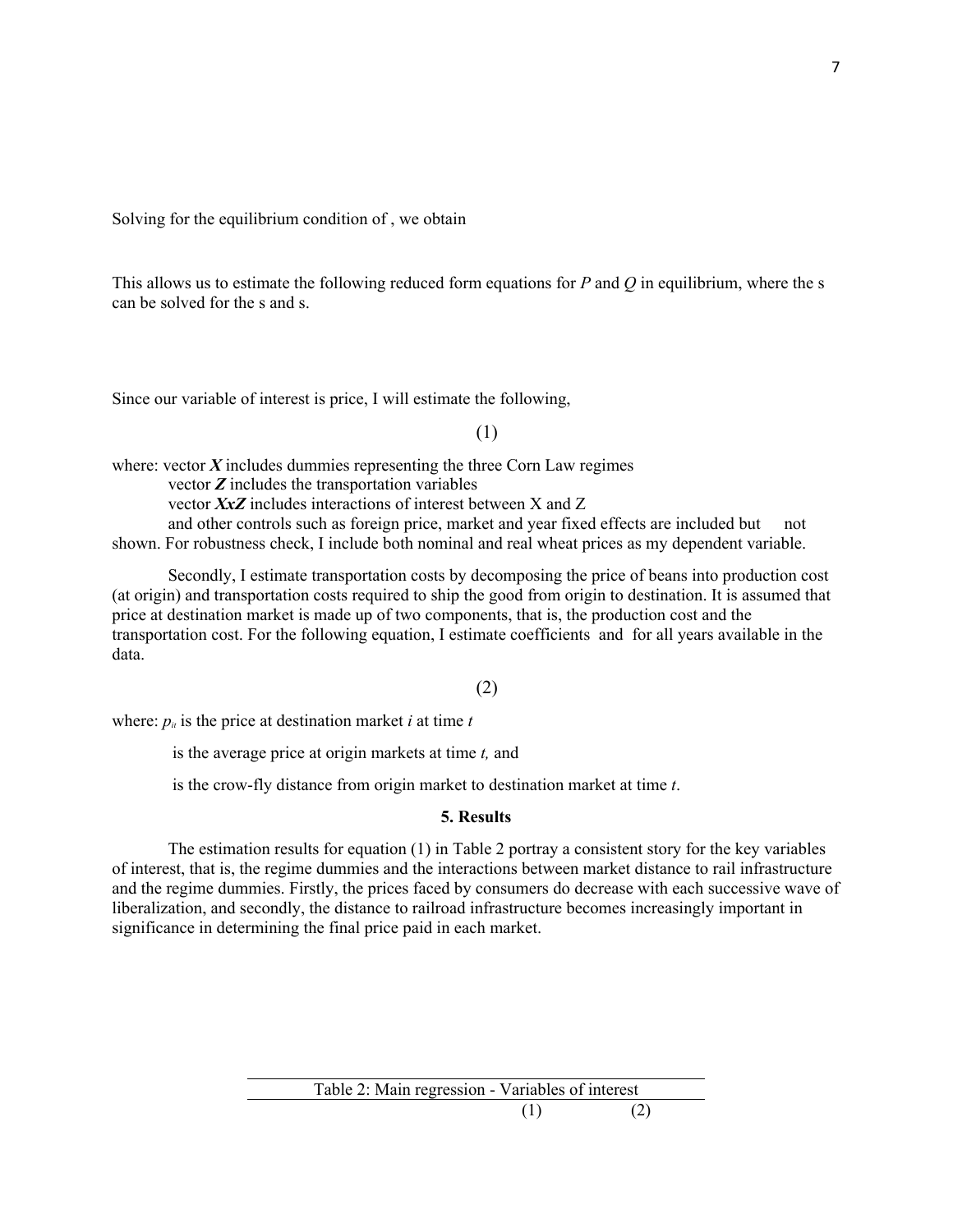Solving for the equilibrium condition of , we obtain

This allows us to estimate the following reduced form equations for *P* and *Q* in equilibrium, where the s can be solved for the s and s.

Since our variable of interest is price, I will estimate the following,

(1)

where: vector  $X$  includes dummies representing the three Corn Law regimes vector *Z* includes the transportation variables vector *XxZ* includes interactions of interest between X and Z and other controls such as foreign price, market and year fixed effects are included but not shown. For robustness check, I include both nominal and real wheat prices as my dependent variable.

Secondly, I estimate transportation costs by decomposing the price of beans into production cost (at origin) and transportation costs required to ship the good from origin to destination. It is assumed that price at destination market is made up of two components, that is, the production cost and the transportation cost. For the following equation, I estimate coefficients and for all years available in the data.

# (2)

where:  $p_{ii}$  is the price at destination market *i* at time *t* 

is the average price at origin markets at time *t,* and

is the crow-fly distance from origin market to destination market at time *t*.

#### **5. Results**

The estimation results for equation (1) in Table 2 portray a consistent story for the key variables of interest, that is, the regime dummies and the interactions between market distance to rail infrastructure and the regime dummies. Firstly, the prices faced by consumers do decrease with each successive wave of liberalization, and secondly, the distance to railroad infrastructure becomes increasingly important in significance in determining the final price paid in each market.

Table 2: Main regression - Variables of interest

 $(1)$   $(2)$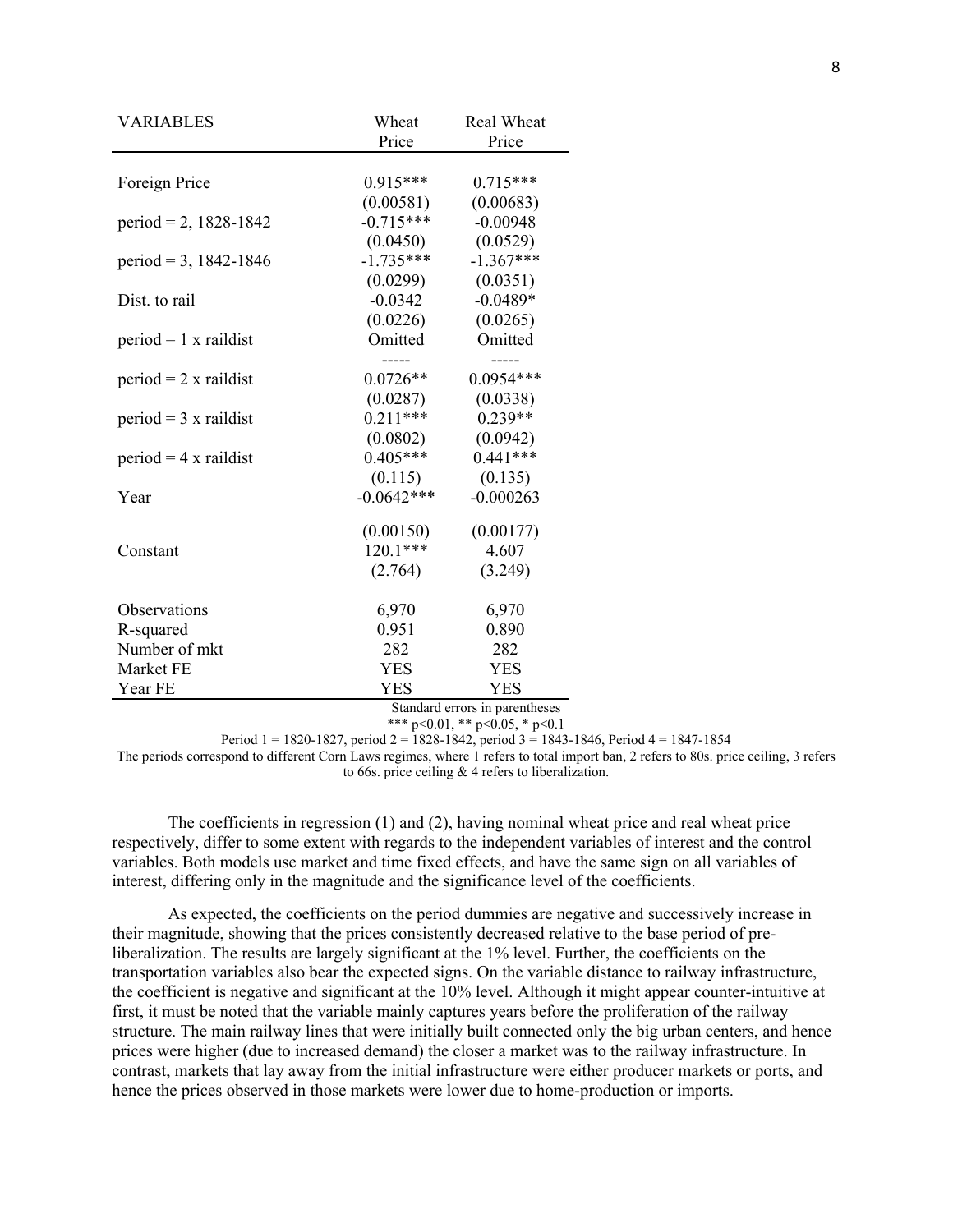| <b>VARIABLES</b>        | Wheat        | Real Wheat  |
|-------------------------|--------------|-------------|
|                         | Price        | Price       |
|                         |              |             |
| Foreign Price           | $0.915***$   | $0.715***$  |
|                         | (0.00581)    | (0.00683)   |
| period = 2, $1828-1842$ | $-0.715***$  | $-0.00948$  |
|                         | (0.0450)     | (0.0529)    |
| period = 3, 1842-1846   | $-1.735***$  | $-1.367***$ |
|                         | (0.0299)     | (0.0351)    |
| Dist. to rail           | $-0.0342$    | $-0.0489*$  |
|                         | (0.0226)     | (0.0265)    |
| $period = 1$ x raildist | Omitted      | Omitted     |
|                         |              |             |
| $period = 2 x$ raildist | $0.0726**$   | $0.0954***$ |
|                         | (0.0287)     | (0.0338)    |
| $period = 3x$ raildist  | $0.211***$   | $0.239**$   |
|                         | (0.0802)     | (0.0942)    |
| $period = 4x$ raildist  | $0.405***$   | $0.441***$  |
|                         | (0.115)      | (0.135)     |
| Year                    | $-0.0642***$ | $-0.000263$ |
|                         | (0.00150)    | (0.00177)   |
| Constant                | $120.1***$   | 4.607       |
|                         | (2.764)      | (3.249)     |
|                         |              |             |
| Observations            | 6,970        | 6,970       |
| R-squared               | 0.951        | 0.890       |
| Number of mkt           | 282          | 282         |
| Market FE               | <b>YES</b>   | <b>YES</b>  |
| Year FE                 | <b>YES</b>   | <b>YES</b>  |

Standard errors in parentheses

\*\*\* p<0.01, \*\* p<0.05, \* p<0.1

Period 1 = 1820-1827, period 2 = 1828-1842, period 3 = 1843-1846, Period 4 = 1847-1854

The periods correspond to different Corn Laws regimes, where 1 refers to total import ban, 2 refers to 80s. price ceiling, 3 refers to 66s. price ceiling & 4 refers to liberalization.

The coefficients in regression (1) and (2), having nominal wheat price and real wheat price respectively, differ to some extent with regards to the independent variables of interest and the control variables. Both models use market and time fixed effects, and have the same sign on all variables of interest, differing only in the magnitude and the significance level of the coefficients.

As expected, the coefficients on the period dummies are negative and successively increase in their magnitude, showing that the prices consistently decreased relative to the base period of preliberalization. The results are largely significant at the 1% level. Further, the coefficients on the transportation variables also bear the expected signs. On the variable distance to railway infrastructure, the coefficient is negative and significant at the 10% level. Although it might appear counter-intuitive at first, it must be noted that the variable mainly captures years before the proliferation of the railway structure. The main railway lines that were initially built connected only the big urban centers, and hence prices were higher (due to increased demand) the closer a market was to the railway infrastructure. In contrast, markets that lay away from the initial infrastructure were either producer markets or ports, and hence the prices observed in those markets were lower due to home-production or imports.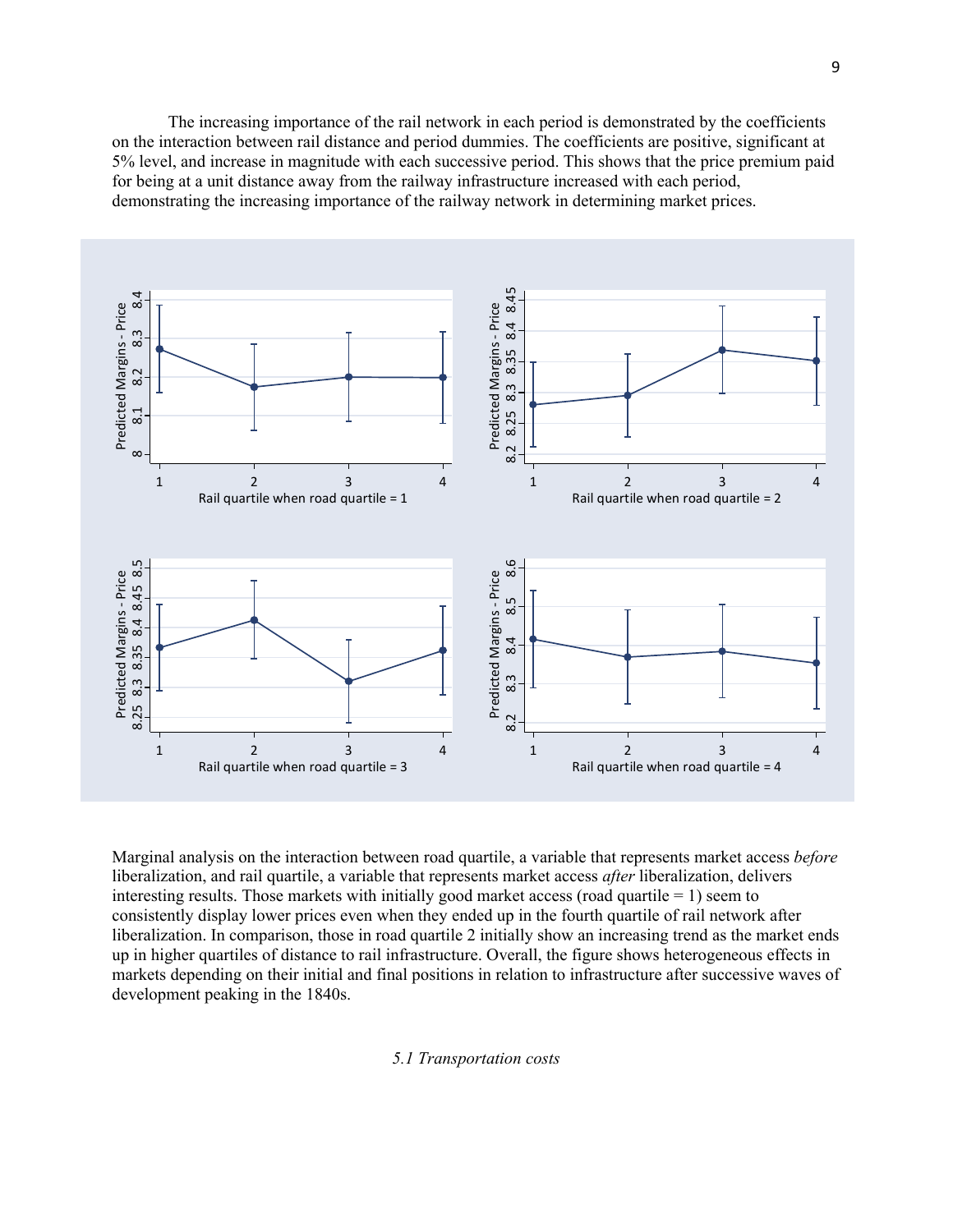The increasing importance of the rail network in each period is demonstrated by the coefficients on the interaction between rail distance and period dummies. The coefficients are positive, significant at 5% level, and increase in magnitude with each successive period. This shows that the price premium paid for being at a unit distance away from the railway infrastructure increased with each period, demonstrating the increasing importance of the railway network in determining market prices.



Marginal analysis on the interaction between road quartile, a variable that represents market access *before*  liberalization, and rail quartile, a variable that represents market access *after* liberalization, delivers interesting results. Those markets with initially good market access (road quartile  $= 1$ ) seem to consistently display lower prices even when they ended up in the fourth quartile of rail network after liberalization. In comparison, those in road quartile 2 initially show an increasing trend as the market ends up in higher quartiles of distance to rail infrastructure. Overall, the figure shows heterogeneous effects in markets depending on their initial and final positions in relation to infrastructure after successive waves of development peaking in the 1840s.

*5.1 Transportation costs*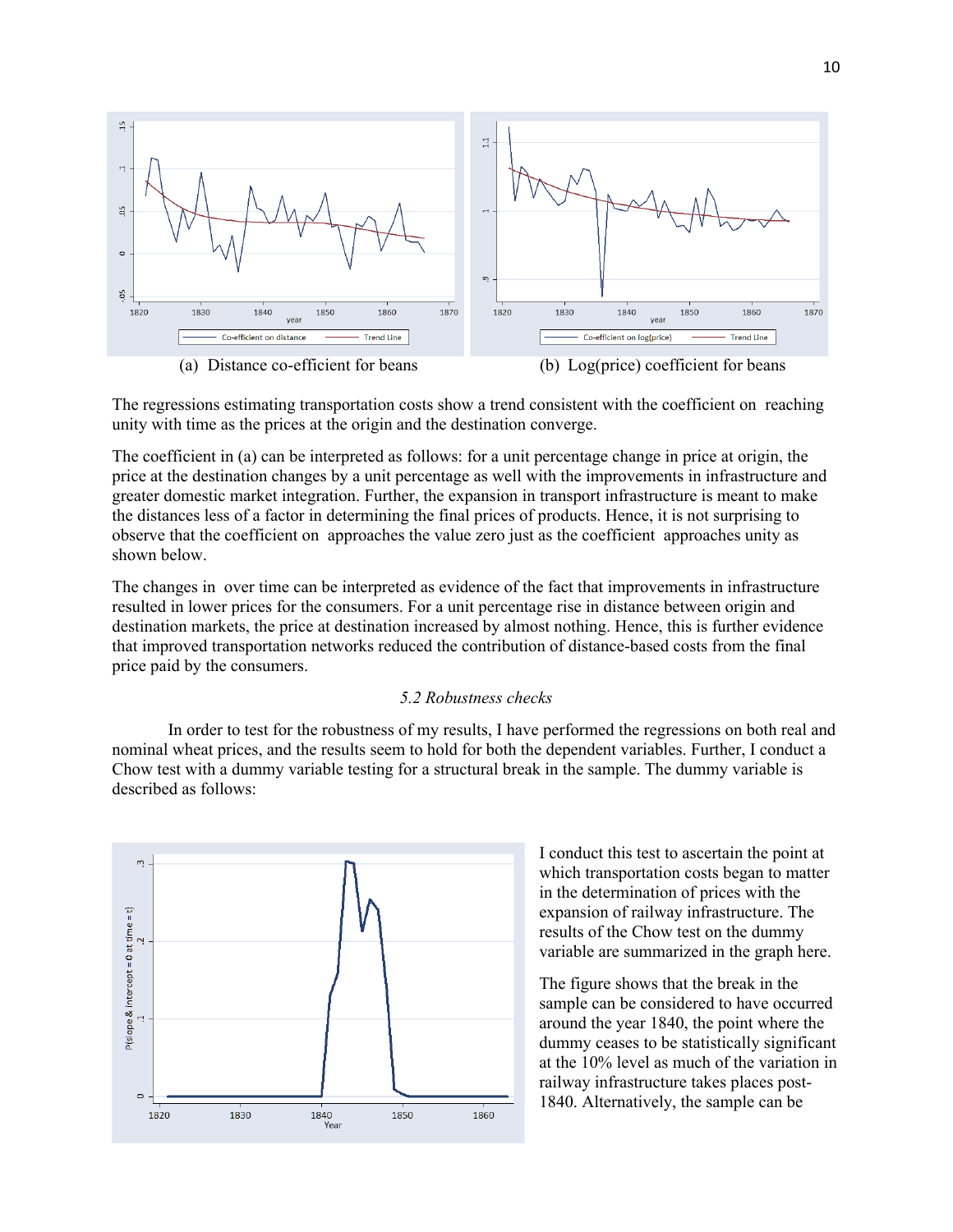

The regressions estimating transportation costs show a trend consistent with the coefficient on reaching unity with time as the prices at the origin and the destination converge.

The coefficient in (a) can be interpreted as follows: for a unit percentage change in price at origin, the price at the destination changes by a unit percentage as well with the improvements in infrastructure and greater domestic market integration. Further, the expansion in transport infrastructure is meant to make the distances less of a factor in determining the final prices of products. Hence, it is not surprising to observe that the coefficient on approaches the value zero just as the coefficient approaches unity as shown below.

The changes in over time can be interpreted as evidence of the fact that improvements in infrastructure resulted in lower prices for the consumers. For a unit percentage rise in distance between origin and destination markets, the price at destination increased by almost nothing. Hence, this is further evidence that improved transportation networks reduced the contribution of distance-based costs from the final price paid by the consumers.

### *5.2 Robustness checks*

In order to test for the robustness of my results, I have performed the regressions on both real and nominal wheat prices, and the results seem to hold for both the dependent variables. Further, I conduct a Chow test with a dummy variable testing for a structural break in the sample. The dummy variable is described as follows:



I conduct this test to ascertain the point at which transportation costs began to matter in the determination of prices with the expansion of railway infrastructure. The results of the Chow test on the dummy variable are summarized in the graph here.

The figure shows that the break in the sample can be considered to have occurred around the year 1840, the point where the dummy ceases to be statistically significant at the 10% level as much of the variation in railway infrastructure takes places post-1840. Alternatively, the sample can be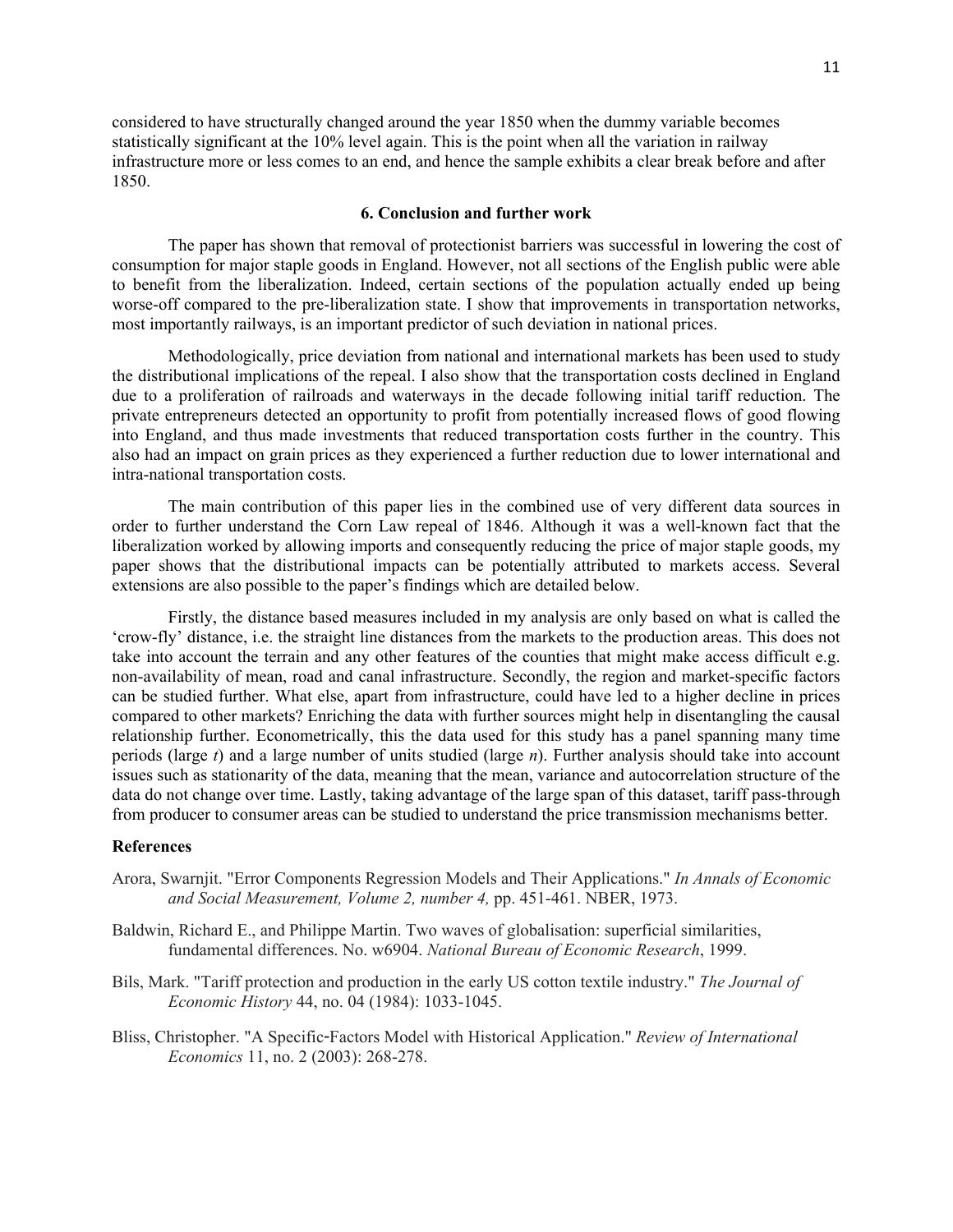considered to have structurally changed around the year 1850 when the dummy variable becomes statistically significant at the 10% level again. This is the point when all the variation in railway infrastructure more or less comes to an end, and hence the sample exhibits a clear break before and after 1850.

## **6. Conclusion and further work**

The paper has shown that removal of protectionist barriers was successful in lowering the cost of consumption for major staple goods in England. However, not all sections of the English public were able to benefit from the liberalization. Indeed, certain sections of the population actually ended up being worse-off compared to the pre-liberalization state. I show that improvements in transportation networks, most importantly railways, is an important predictor of such deviation in national prices.

Methodologically, price deviation from national and international markets has been used to study the distributional implications of the repeal. I also show that the transportation costs declined in England due to a proliferation of railroads and waterways in the decade following initial tariff reduction. The private entrepreneurs detected an opportunity to profit from potentially increased flows of good flowing into England, and thus made investments that reduced transportation costs further in the country. This also had an impact on grain prices as they experienced a further reduction due to lower international and intra-national transportation costs.

The main contribution of this paper lies in the combined use of very different data sources in order to further understand the Corn Law repeal of 1846. Although it was a well-known fact that the liberalization worked by allowing imports and consequently reducing the price of major staple goods, my paper shows that the distributional impacts can be potentially attributed to markets access. Several extensions are also possible to the paper's findings which are detailed below.

Firstly, the distance based measures included in my analysis are only based on what is called the 'crow-fly' distance, i.e. the straight line distances from the markets to the production areas. This does not take into account the terrain and any other features of the counties that might make access difficult e.g. non-availability of mean, road and canal infrastructure. Secondly, the region and market-specific factors can be studied further. What else, apart from infrastructure, could have led to a higher decline in prices compared to other markets? Enriching the data with further sources might help in disentangling the causal relationship further. Econometrically, this the data used for this study has a panel spanning many time periods (large *t*) and a large number of units studied (large *n*). Further analysis should take into account issues such as stationarity of the data, meaning that the mean, variance and autocorrelation structure of the data do not change over time. Lastly, taking advantage of the large span of this dataset, tariff pass-through from producer to consumer areas can be studied to understand the price transmission mechanisms better.

#### **References**

- Arora, Swarnjit. "Error Components Regression Models and Their Applications." *In Annals of Economic and Social Measurement, Volume 2, number 4,* pp. 451-461. NBER, 1973.
- Baldwin, Richard E., and Philippe Martin. Two waves of globalisation: superficial similarities, fundamental differences. No. w6904. *National Bureau of Economic Research*, 1999.
- Bils, Mark. "Tariff protection and production in the early US cotton textile industry." *The Journal of Economic History* 44, no. 04 (1984): 1033-1045.
- Bliss, Christopher. "A Specific‐Factors Model with Historical Application." *Review of International Economics* 11, no. 2 (2003): 268-278.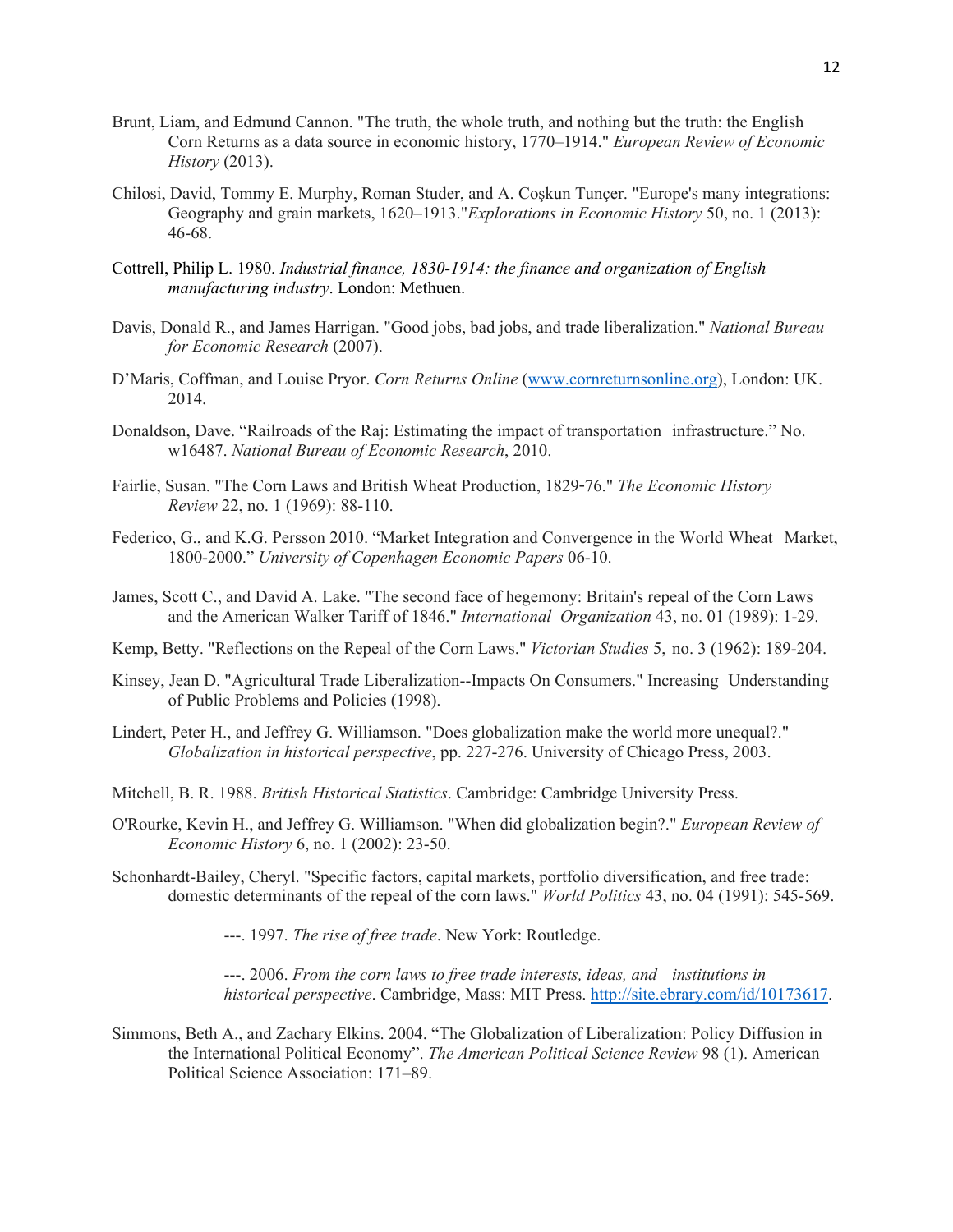- Brunt, Liam, and Edmund Cannon. "The truth, the whole truth, and nothing but the truth: the English Corn Returns as a data source in economic history, 1770–1914." *European Review of Economic History* (2013).
- Chilosi, David, Tommy E. Murphy, Roman Studer, and A. Coşkun Tunçer. "Europe's many integrations: Geography and grain markets, 1620–1913."*Explorations in Economic History* 50, no. 1 (2013): 46-68.
- Cottrell, Philip L. 1980. *Industrial finance, 1830-1914: the finance and organization of English manufacturing industry*. London: Methuen.
- Davis, Donald R., and James Harrigan. "Good jobs, bad jobs, and trade liberalization." *National Bureau for Economic Research* (2007).
- D'Maris, Coffman, and Louise Pryor. *Corn Returns Online* (www.cornreturnsonline.org), London: UK. 2014.
- Donaldson, Dave. "Railroads of the Raj: Estimating the impact of transportation infrastructure." No. w16487. *National Bureau of Economic Research*, 2010.
- Fairlie, Susan. "The Corn Laws and British Wheat Production, 1829‐76." *The Economic History Review* 22, no. 1 (1969): 88-110.
- Federico, G., and K.G. Persson 2010. "Market Integration and Convergence in the World Wheat Market, 1800-2000." *University of Copenhagen Economic Papers* 06-10.
- James, Scott C., and David A. Lake. "The second face of hegemony: Britain's repeal of the Corn Laws and the American Walker Tariff of 1846." *International Organization* 43, no. 01 (1989): 1-29.
- Kemp, Betty. "Reflections on the Repeal of the Corn Laws." *Victorian Studies* 5, no. 3 (1962): 189-204.
- Kinsey, Jean D. "Agricultural Trade Liberalization--Impacts On Consumers." Increasing Understanding of Public Problems and Policies (1998).
- Lindert, Peter H., and Jeffrey G. Williamson. "Does globalization make the world more unequal?." *Globalization in historical perspective*, pp. 227-276. University of Chicago Press, 2003.
- Mitchell, B. R. 1988. *British Historical Statistics*. Cambridge: Cambridge University Press.
- O'Rourke, Kevin H., and Jeffrey G. Williamson. "When did globalization begin?." *European Review of Economic History* 6, no. 1 (2002): 23-50.
- Schonhardt-Bailey, Cheryl. "Specific factors, capital markets, portfolio diversification, and free trade: domestic determinants of the repeal of the corn laws." *World Politics* 43, no. 04 (1991): 545-569.

---. 1997. *The rise of free trade*. New York: Routledge.

---. 2006. *From the corn laws to free trade interests, ideas, and institutions in historical perspective*. Cambridge, Mass: MIT Press. http://site.ebrary.com/id/10173617.

Simmons, Beth A., and Zachary Elkins. 2004. "The Globalization of Liberalization: Policy Diffusion in the International Political Economy". *The American Political Science Review* 98 (1). American Political Science Association: 171–89.